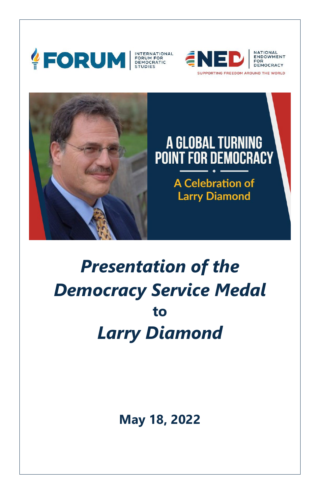





# **A GLOBAL TURNING POINT FOR DEMOCRACY**

**A Celebration of Larry Diamond** 

# *Presentation of the Democracy Service Medal* **to** *Larry Diamond*

**May 18, 2022**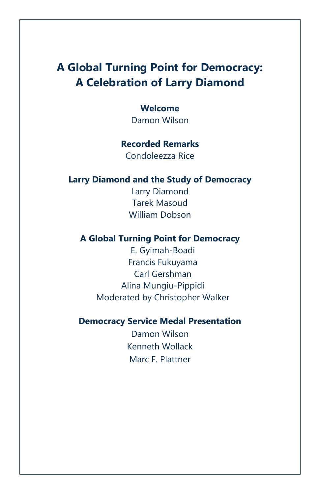# **A Global Turning Point for Democracy: A Celebration of Larry Diamond**

#### **Welcome**

Damon Wilson

#### **Recorded Remarks**

Condoleezza Rice

#### **Larry Diamond and the Study of Democracy**

Larry Diamond Tarek Masoud William Dobson

#### **A Global Turning Point for Democracy**

E. Gyimah-Boadi Francis Fukuyama Carl Gershman Alina Mungiu-Pippidi Moderated by Christopher Walker

#### **Democracy Service Medal Presentation**

Damon Wilson Kenneth Wollack Marc F. Plattner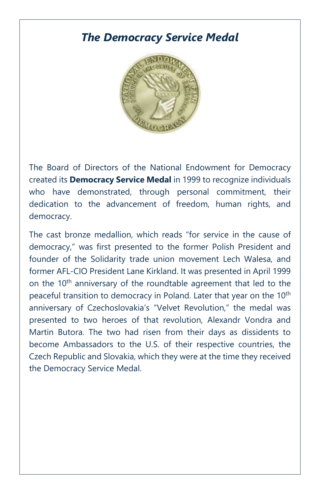### *The Democracy Service Medal*



The Board of Directors of the National Endowment for Democracy created its **Democracy Service Medal** in 1999 to recognize individuals who have demonstrated, through personal commitment, their dedication to the advancement of freedom, human rights, and democracy.

The cast bronze medallion, which reads "for service in the cause of democracy," was first presented to the former Polish President and founder of the Solidarity trade union movement Lech Walesa, and former AFL-CIO President Lane Kirkland. It was presented in April 1999 on the 10<sup>th</sup> anniversary of the roundtable agreement that led to the peaceful transition to democracy in Poland. Later that year on the 10<sup>th</sup> anniversary of Czechoslovakia's "Velvet Revolution," the medal was presented to two heroes of that revolution, Alexandr Vondra and Martin Butora. The two had risen from their days as dissidents to become Ambassadors to the U.S. of their respective countries, the Czech Republic and Slovakia, which they were at the time they received the Democracy Service Medal.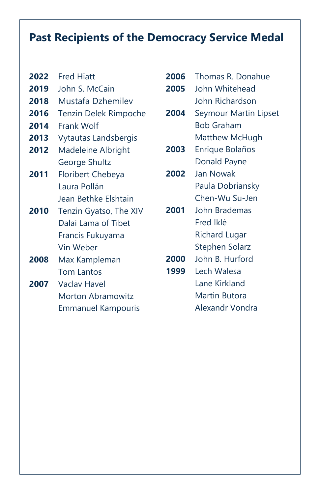# **Past Recipients of the Democracy Service Medal**

| 2022 | <b>Fred Hiatt</b>        |
|------|--------------------------|
| 2019 | John S. McCain           |
| 2018 | Mustafa Dzhemilev        |
| 2016 | Tenzin Delek Rimpoche    |
| 2014 | <b>Frank Wolf</b>        |
| 2013 | Vytautas Landsbergis     |
| 2012 | Madeleine Albright       |
|      | George Shultz            |
| 2011 | <b>Floribert Chebeya</b> |
|      | Laura Pollán             |
|      | Jean Bethke Elshtain     |
| 2010 | Tenzin Gyatso, The XIV   |
|      | Dalai Lama of Tibet      |
|      | Francis Fukuyama         |
|      | Vin Weber                |
| 2008 | Max Kampleman            |
|      | <b>Tom Lantos</b>        |
| 2007 | Vaclav Havel             |

| <b>Morton Abramowitz</b>  |
|---------------------------|
| <b>Emmanuel Kampouris</b> |

| 2006 | Thomas R. Donahue     |
|------|-----------------------|
| 2005 | John Whitehead        |
|      | John Richardson       |
| 2004 | Seymour Martin Lipset |
|      | Bob Graham            |
|      | Matthew McHugh        |
| 2003 | Enrique Bolaños       |
|      | Donald Payne          |
| 2002 | Jan Nowak             |
|      | Paula Dobriansky      |
|      | Chen-Wu Su-Jen        |
| 2001 | John Brademas         |
|      | Fred Iklé             |
|      | <b>Richard Lugar</b>  |
|      | <b>Stephen Solarz</b> |
| 2000 | John B. Hurford       |
| 1999 | Lech Walesa           |
|      | Lane Kirkland         |
|      | Martin Butora         |
|      | Alexandr Vondra       |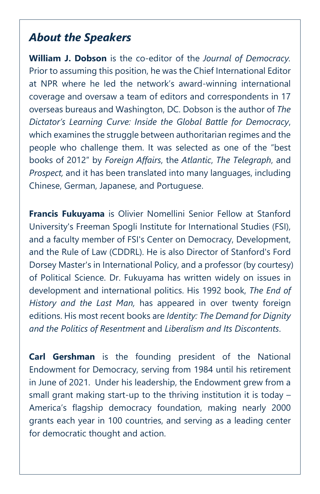## *About the Speakers*

**William J. Dobson** is the co-editor of the *Journal of Democracy.* Prior to assuming this position, he was the Chief International Editor at NPR where he led the network's award-winning international coverage and oversaw a team of editors and correspondents in 17 overseas bureaus and Washington, DC. Dobson is the author of *The Dictator's Learning Curve: Inside the Global Battle for Democracy*, which examines the struggle between authoritarian regimes and the people who challenge them. It was selected as one of the "best books of 2012" by *Foreign Affairs*, the *Atlantic*, *The Telegraph*, and *Prospect,* and it has been translated into many languages, including Chinese, German, Japanese, and Portuguese.

**Francis Fukuyama** is Olivier Nomellini Senior Fellow at Stanford University's Freeman Spogli Institute for International Studies (FSI), and a faculty member of FSI's Center on Democracy, Development, and the Rule of Law (CDDRL). He is also Director of Stanford's Ford Dorsey Master's in International Policy, and a professor (by courtesy) of Political Science. Dr. Fukuyama has written widely on issues in development and international politics. His 1992 book, *The End of History and the Last Man,* has appeared in over twenty foreign editions. His most recent books are *Identity: The Demand for Dignity and the Politics of Resentment* and *Liberalism and Its Discontents*.

**Carl Gershman** is the founding president of the National Endowment for Democracy, serving from 1984 until his retirement in June of 2021. Under his leadership, the Endowment grew from a small grant making start-up to the thriving institution it is today – America's flagship democracy foundation, making nearly 2000 grants each year in 100 countries, and serving as a leading center for democratic thought and action.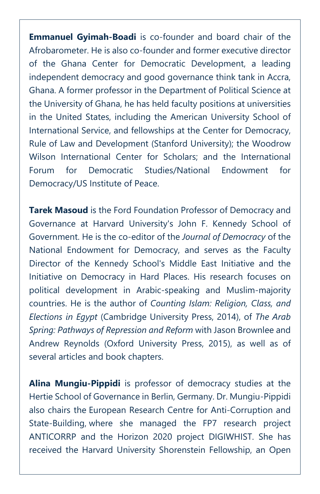**Emmanuel Gyimah-Boadi** is co-founder and board chair of the Afrobarometer. He is also co-founder and former executive director of the Ghana Center for Democratic Development, a leading independent democracy and good governance think tank in Accra, Ghana. A former professor in the Department of Political Science at the University of Ghana, he has held faculty positions at universities in the United States, including the American University School of International Service, and fellowships at the Center for Democracy, Rule of Law and Development (Stanford University); the Woodrow Wilson International Center for Scholars; and the International Forum for Democratic Studies/National Endowment for Democracy/US Institute of Peace.

**Tarek Masoud** is the Ford Foundation Professor of Democracy and Governance at Harvard University's John F. Kennedy School of Government. He is the co-editor of the *Journal of Democracy* of the National Endowment for Democracy, and serves as the Faculty Director of the Kennedy School's Middle East Initiative and the Initiative on Democracy in Hard Places. His research focuses on political development in Arabic-speaking and Muslim-majority countries. He is the author of *Counting Islam: Religion, Class, and Elections in Egypt* (Cambridge University Press, 2014), of *The Arab Spring: Pathways of Repression and Reform* with Jason Brownlee and Andrew Reynolds (Oxford University Press, 2015), as well as of several articles and book chapters.

**Alina Mungiu-Pippidi** is professor of democracy studies at the Hertie School of Governance in Berlin, Germany. Dr. Mungiu-Pippidi also chairs the European Research Centre for Anti-Corruption and State-Building, where she managed the FP7 research project ANTICORRP and the Horizon 2020 project DIGIWHIST. She has received the Harvard University Shorenstein Fellowship, an Open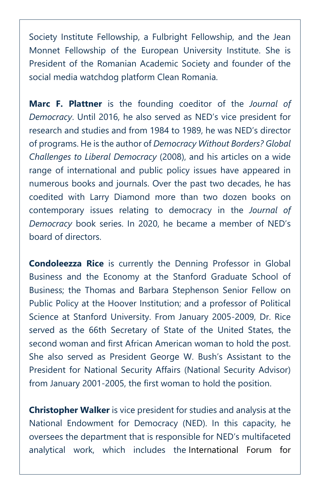Society Institute Fellowship, a Fulbright Fellowship, and the Jean Monnet Fellowship of the European University Institute. She is President of the Romanian Academic Society and founder of the social media watchdog platform Clean Romania.

**Marc F. Plattner** is the founding coeditor of the *Journal of Democracy*. Until 2016, he also served as NED's vice president for research and studies and from 1984 to 1989, he was NED's director of programs. He is the author of *Democracy Without Borders? Global Challenges to Liberal Democracy* (2008), and his articles on a wide range of international and public policy issues have appeared in numerous books and journals. Over the past two decades, he has coedited with Larry Diamond more than two dozen books on contemporary issues relating to democracy in the *Journal of Democracy* book series. In 2020, he became a member of NED's board of directors.

**Condoleezza Rice** is currently the Denning Professor in Global Business and the Economy at the Stanford Graduate School of Business; the Thomas and Barbara Stephenson Senior Fellow on Public Policy at the Hoover Institution; and a professor of Political Science at Stanford University. From January 2005-2009, Dr. Rice served as the 66th Secretary of State of the United States, the second woman and first African American woman to hold the post. She also served as President George W. Bush's Assistant to the President for National Security Affairs (National Security Advisor) from January 2001-2005, the first woman to hold the position.

**Christopher Walker** is vice president for studies and analysis at the National Endowment for Democracy (NED). In this capacity, he oversees the department that is responsible for NED's multifaceted analytical work, which includes the International Forum for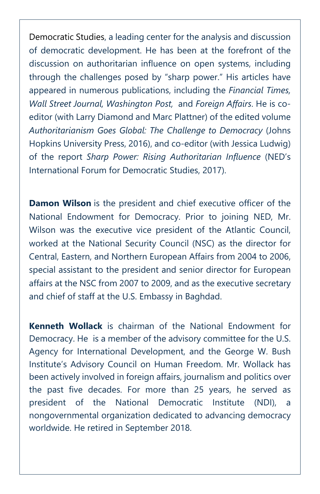Democratic Studies, a leading center for the analysis and discussion of democratic development. He has been at the forefront of the discussion on authoritarian influence on open systems, including through the challenges posed by "sharp power." His articles have appeared in numerous publications, including the *Financial Times, Wall Street Journal, Washington Post,* and *Foreign Affairs*. He is coeditor (with Larry Diamond and Marc Plattner) of the edited volume *Authoritarianism Goes Global: The Challenge to Democracy* (Johns Hopkins University Press, 2016), and co-editor (with Jessica Ludwig) of the report *Sharp Power: Rising Authoritarian Influence* (NED's International Forum for Democratic Studies, 2017).

**Damon Wilson** is the president and chief executive officer of the National Endowment for Democracy. Prior to joining NED, Mr. Wilson was the executive vice president of the Atlantic Council, worked at the National Security Council (NSC) as the director for Central, Eastern, and Northern European Affairs from 2004 to 2006, special assistant to the president and senior director for European affairs at the NSC from 2007 to 2009, and as the executive secretary and chief of staff at the U.S. Embassy in Baghdad.

**Kenneth Wollack** is chairman of the National Endowment for Democracy. He is a member of the advisory committee for the U.S. Agency for International Development, and the George W. Bush Institute's Advisory Council on Human Freedom. Mr. Wollack has been actively involved in foreign affairs, journalism and politics over the past five decades. For more than 25 years, he served as president of the National Democratic Institute (NDI), a nongovernmental organization dedicated to advancing democracy worldwide. He retired in September 2018.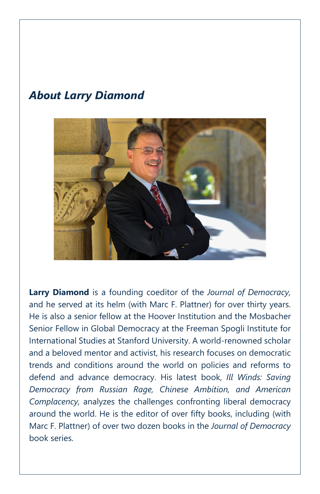# *About Larry Diamond*



**Larry Diamond** is a founding coeditor of the *Journal of Democracy,*  and he served at its helm (with Marc F. Plattner) for over thirty years. He is also a senior fellow at the Hoover Institution and the Mosbacher Senior Fellow in Global Democracy at the Freeman Spogli Institute for International Studies at Stanford University. A world-renowned scholar and a beloved mentor and activist, his research focuses on democratic trends and conditions around the world on policies and reforms to defend and advance democracy. His latest book, *Ill Winds: Saving Democracy from Russian Rage, Chinese Ambition, and American Complacency,* analyzes the challenges confronting liberal democracy around the world. He is the editor of over fifty books, including (with Marc F. Plattner) of over two dozen books in the *Journal of Democracy* book series.